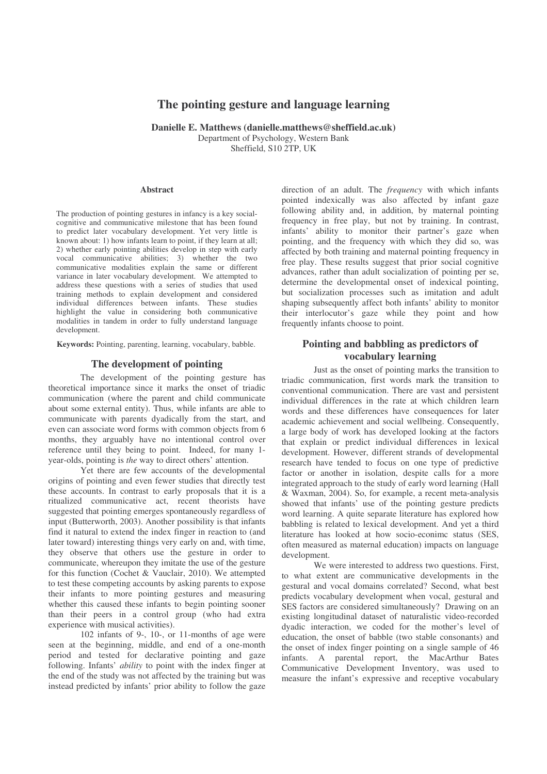# **The pointing gesture and language learning**

**Danielle E. Matthews (danielle.matthews@sheffield.ac.uk)** Department of Psychology, Western Bank Sheffield, S10 2TP, UK

#### **Abstract**

The production of pointing gestures in infancy is a key socialcognitive and communicative milestone that has been found to predict later vocabulary development. Yet very little is known about: 1) how infants learn to point, if they learn at all; 2) whether early pointing abilities develop in step with early vocal communicative abilities; 3) whether the two communicative modalities explain the same or different variance in later vocabulary development. We attempted to address these questions with a series of studies that used training methods to explain development and considered individual differences between infants. These studies highlight the value in considering both communicative modalities in tandem in order to fully understand language development.

**Keywords:** Pointing, parenting, learning, vocabulary, babble.

### **The development of pointing**

The development of the pointing gesture has theoretical importance since it marks the onset of triadic communication (where the parent and child communicate about some external entity). Thus, while infants are able to communicate with parents dyadically from the start, and even can associate word forms with common objects from 6 months, they arguably have no intentional control over reference until they being to point. Indeed, for many 1 year-olds, pointing is *the* way to direct others' attention.

Yet there are few accounts of the developmental origins of pointing and even fewer studies that directly test these accounts. In contrast to early proposals that it is a ritualized communicative act, recent theorists have suggested that pointing emerges spontaneously regardless of input (Butterworth, 2003). Another possibility is that infants find it natural to extend the index finger in reaction to (and later toward) interesting things very early on and, with time, they observe that others use the gesture in order to communicate, whereupon they imitate the use of the gesture for this function (Cochet & Vauclair, 2010). We attempted to test these competing accounts by asking parents to expose their infants to more pointing gestures and measuring whether this caused these infants to begin pointing sooner than their peers in a control group (who had extra experience with musical activities).

102 infants of 9-, 10-, or 11-months of age were seen at the beginning, middle, and end of a one-month period and tested for declarative pointing and gaze following. Infants' *ability* to point with the index finger at the end of the study was not affected by the training but was instead predicted by infants' prior ability to follow the gaze direction of an adult. The *frequency* with which infants pointed indexically was also affected by infant gaze following ability and, in addition, by maternal pointing frequency in free play, but not by training. In contrast, infants' ability to monitor their partner's gaze when pointing, and the frequency with which they did so, was affected by both training and maternal pointing frequency in free play. These results suggest that prior social cognitive advances, rather than adult socialization of pointing per se, determine the developmental onset of indexical pointing, but socialization processes such as imitation and adult shaping subsequently affect both infants' ability to monitor their interlocutor's gaze while they point and how frequently infants choose to point.

## **Pointing and babbling as predictors of vocabulary learning**

Just as the onset of pointing marks the transition to triadic communication, first words mark the transition to conventional communication. There are vast and persistent individual differences in the rate at which children learn words and these differences have consequences for later academic achievement and social wellbeing. Consequently, a large body of work has developed looking at the factors that explain or predict individual differences in lexical development. However, different strands of developmental research have tended to focus on one type of predictive factor or another in isolation, despite calls for a more integrated approach to the study of early word learning (Hall & Waxman, 2004). So, for example, a recent meta-analysis showed that infants' use of the pointing gesture predicts word learning. A quite separate literature has explored how babbling is related to lexical development. And yet a third literature has looked at how socio-econimc status (SES, often measured as maternal education) impacts on language development.

We were interested to address two questions. First, to what extent are communicative developments in the gestural and vocal domains correlated? Second, what best predicts vocabulary development when vocal, gestural and SES factors are considered simultaneously? Drawing on an existing longitudinal dataset of naturalistic video-recorded dyadic interaction, we coded for the mother's level of education, the onset of babble (two stable consonants) and the onset of index finger pointing on a single sample of 46 infants. A parental report, the MacArthur Bates Communicative Development Inventory, was used to measure the infant's expressive and receptive vocabulary